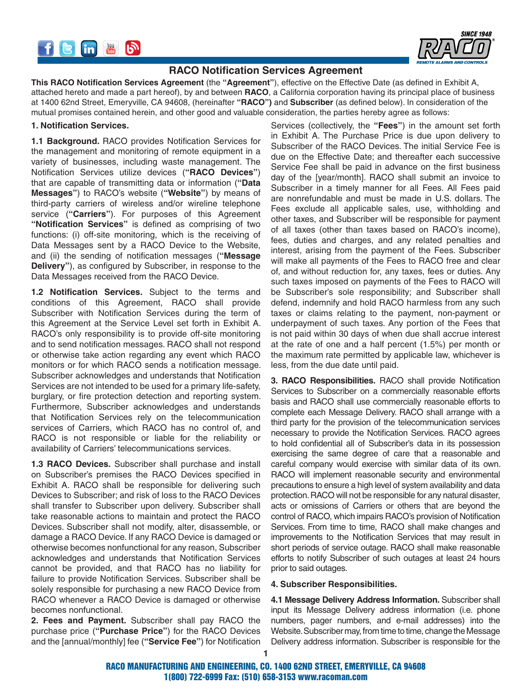



# **RACO Notification Services Agreement**

**This RACO Notification Services Agreement** (the **"Agreement"**), effective on the Effective Date (as defined in Exhibit A, attached hereto and made a part hereof), by and between **RACO**, a California corporation having its principal place of business at 1400 62nd Street, Emeryville, CA 94608, (hereinafter **"RACO")** and **Subscriber** (as defined below). In consideration of the mutual promises contained herein, and other good and valuable consideration, the parties hereby agree as follows:

#### **1. Notification Services.**

**1.1 Background.** RACO provides Notification Services for the management and monitoring of remote equipment in a variety of businesses, including waste management. The Notification Services utilize devices (**"RACO Devices"**) that are capable of transmitting data or information (**"Data Messages"**) to RACO's website (**"Website"**) by means of third-party carriers of wireless and/or wireline telephone service (**"Carriers"**). For purposes of this Agreement **"Notification Services"** is defined as comprising of two functions: (i) off-site monitoring, which is the receiving of Data Messages sent by a RACO Device to the Website, and (ii) the sending of notification messages (**"Message Delivery"**), as configured by Subscriber, in response to the Data Messages received from the RACO Device.

**1.2 Notification Services.** Subject to the terms and conditions of this Agreement, RACO shall provide Subscriber with Notification Services during the term of this Agreement at the Service Level set forth in Exhibit A. RACO's only responsibility is to provide off-site monitoring and to send notification messages. RACO shall not respond or otherwise take action regarding any event which RACO monitors or for which RACO sends a notification message. Subscriber acknowledges and understands that Notification Services are not intended to be used for a primary life-safety, burglary, or fire protection detection and reporting system. Furthermore, Subscriber acknowledges and understands that Notification Services rely on the telecommunication services of Carriers, which RACO has no control of, and RACO is not responsible or liable for the reliability or availability of Carriers' telecommunications services.

**1.3 RACO Devices.** Subscriber shall purchase and install on Subscriber's premises the RACO Devices specified in Exhibit A. RACO shall be responsible for delivering such Devices to Subscriber; and risk of loss to the RACO Devices shall transfer to Subscriber upon delivery. Subscriber shall take reasonable actions to maintain and protect the RACO Devices. Subscriber shall not modify, alter, disassemble, or damage a RACO Device. If any RACO Device is damaged or otherwise becomes nonfunctional for any reason, Subscriber acknowledges and understands that Notification Services cannot be provided, and that RACO has no liability for failure to provide Notification Services. Subscriber shall be solely responsible for purchasing a new RACO Device from RACO whenever a RACO Device is damaged or otherwise becomes nonfunctional.

**2. Fees and Payment.** Subscriber shall pay RACO the purchase price (**"Purchase Price"**) for the RACO Devices and the [annual/monthly] fee (**"Service Fee"**) for Notification Services (collectively, the **"Fees"**) in the amount set forth in Exhibit A. The Purchase Price is due upon delivery to Subscriber of the RACO Devices. The initial Service Fee is due on the Effective Date; and thereafter each successive Service Fee shall be paid in advance on the first business day of the [year/month]. RACO shall submit an invoice to Subscriber in a timely manner for all Fees. All Fees paid are nonrefundable and must be made in U.S. dollars. The Fees exclude all applicable sales, use, withholding and other taxes, and Subscriber will be responsible for payment of all taxes (other than taxes based on RACO's income), fees, duties and charges, and any related penalties and interest, arising from the payment of the Fees. Subscriber will make all payments of the Fees to RACO free and clear of, and without reduction for, any taxes, fees or duties. Any such taxes imposed on payments of the Fees to RACO will be Subscriber's sole responsibility; and Subscriber shall defend, indemnify and hold RACO harmless from any such taxes or claims relating to the payment, non-payment or underpayment of such taxes. Any portion of the Fees that is not paid within 30 days of when due shall accrue interest at the rate of one and a half percent (1.5%) per month or the maximum rate permitted by applicable law, whichever is less, from the due date until paid.

**3. RACO Responsibilities.** RACO shall provide Notification Services to Subscriber on a commercially reasonable efforts basis and RACO shall use commercially reasonable efforts to complete each Message Delivery. RACO shall arrange with a third party for the provision of the telecommunication services necessary to provide the Notification Services. RACO agrees to hold confidential all of Subscriber's data in its possession exercising the same degree of care that a reasonable and careful company would exercise with similar data of its own. RACO will implement reasonable security and environmental precautions to ensure a high level of system availability and data protection. RACO will not be responsible for any natural disaster, acts or omissions of Carriers or others that are beyond the control of RACO, which impairs RACO's provision of Notification Services. From time to time, RACO shall make changes and improvements to the Notification Services that may result in short periods of service outage. RACO shall make reasonable efforts to notify Subscriber of such outages at least 24 hours prior to said outages.

#### **4. Subscriber Responsibilities.**

**4.1 Message Delivery Address Information.** Subscriber shall input its Message Delivery address information (i.e. phone numbers, pager numbers, and e-mail addresses) into the Website. Subscriber may, from time to time, change the Message Delivery address information. Subscriber is responsible for the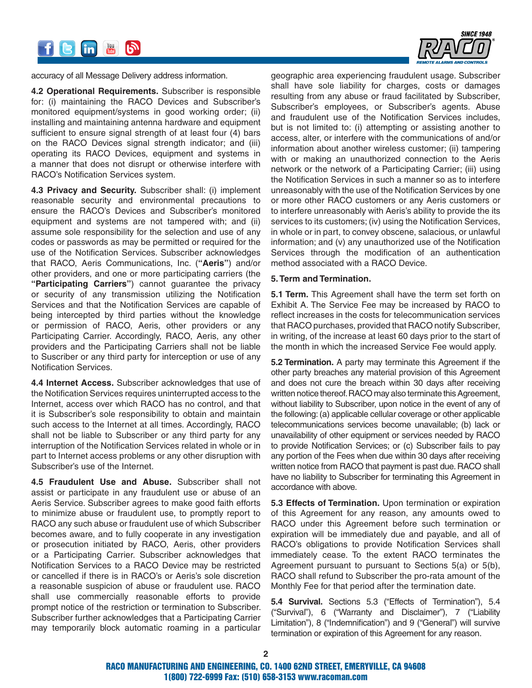

accuracy of all Message Delivery address information.

**4.2 Operational Requirements.** Subscriber is responsible for: (i) maintaining the RACO Devices and Subscriber's monitored equipment/systems in good working order; (ii) installing and maintaining antenna hardware and equipment sufficient to ensure signal strength of at least four (4) bars on the RACO Devices signal strength indicator; and (iii) operating its RACO Devices, equipment and systems in a manner that does not disrupt or otherwise interfere with RACO's Notification Services system.

**4.3 Privacy and Security.** Subscriber shall: (i) implement reasonable security and environmental precautions to ensure the RACO's Devices and Subscriber's monitored equipment and systems are not tampered with; and (ii) assume sole responsibility for the selection and use of any codes or passwords as may be permitted or required for the use of the Notification Services. Subscriber acknowledges that RACO, Aeris Communications, Inc. (**"Aeris"**) and/or other providers, and one or more participating carriers (the **"Participating Carriers"**) cannot guarantee the privacy or security of any transmission utilizing the Notification Services and that the Notification Services are capable of being intercepted by third parties without the knowledge or permission of RACO, Aeris, other providers or any Participating Carrier. Accordingly, RACO, Aeris, any other providers and the Participating Carriers shall not be liable to Suscriber or any third party for interception or use of any Notification Services.

**4.4 Internet Access.** Subscriber acknowledges that use of the Notification Services requires uninterrupted access to the Internet, access over which RACO has no control, and that it is Subscriber's sole responsibility to obtain and maintain such access to the Internet at all times. Accordingly, RACO shall not be liable to Subscriber or any third party for any interruption of the Notification Services related in whole or in part to Internet access problems or any other disruption with Subscriber's use of the Internet.

**4.5 Fraudulent Use and Abuse.** Subscriber shall not assist or participate in any fraudulent use or abuse of an Aeris Service. Subscriber agrees to make good faith efforts to minimize abuse or fraudulent use, to promptly report to RACO any such abuse or fraudulent use of which Subscriber becomes aware, and to fully cooperate in any investigation or prosecution initiated by RACO, Aeris, other providers or a Participating Carrier. Subscriber acknowledges that Notification Services to a RACO Device may be restricted or cancelled if there is in RACO's or Aeris's sole discretion a reasonable suspicion of abuse or fraudulent use. RACO shall use commercially reasonable efforts to provide prompt notice of the restriction or termination to Subscriber. Subscriber further acknowledges that a Participating Carrier may temporarily block automatic roaming in a particular

geographic area experiencing fraudulent usage. Subscriber shall have sole liability for charges, costs or damages resulting from any abuse or fraud facilitated by Subscriber, Subscriber's employees, or Subscriber's agents. Abuse and fraudulent use of the Notification Services includes, but is not limited to: (i) attempting or assisting another to access, alter, or interfere with the communications of and/or information about another wireless customer; (ii) tampering with or making an unauthorized connection to the Aeris network or the network of a Participating Carrier; (iii) using the Notification Services in such a manner so as to interfere unreasonably with the use of the Notification Services by one or more other RACO customers or any Aeris customers or to interfere unreasonably with Aeris's ability to provide the its services to its customers; (iv) using the Notification Services, in whole or in part, to convey obscene, salacious, or unlawful information; and (v) any unauthorized use of the Notification Services through the modification of an authentication method associated with a RACO Device.

#### **5. Term and Termination.**

**5.1 Term.** This Agreement shall have the term set forth on Exhibit A. The Service Fee may be increased by RACO to reflect increases in the costs for telecommunication services that RACO purchases, provided that RACO notify Subscriber, in writing, of the increase at least 60 days prior to the start of the month in which the increased Service Fee would apply.

**5.2 Termination.** A party may terminate this Agreement if the other party breaches any material provision of this Agreement and does not cure the breach within 30 days after receiving written notice thereof. RACO may also terminate this Agreement, without liability to Subscriber, upon notice in the event of any of the following: (a) applicable cellular coverage or other applicable telecommunications services become unavailable; (b) lack or unavailability of other equipment or services needed by RACO to provide Notification Services; or (c) Subscriber fails to pay any portion of the Fees when due within 30 days after receiving written notice from RACO that payment is past due. RACO shall have no liability to Subscriber for terminating this Agreement in accordance with above.

**5.3 Effects of Termination.** Upon termination or expiration of this Agreement for any reason, any amounts owed to RACO under this Agreement before such termination or expiration will be immediately due and payable, and all of RACO's obligations to provide Notification Services shall immediately cease. To the extent RACO terminates the Agreement pursuant to pursuant to Sections 5(a) or 5(b), RACO shall refund to Subscriber the pro-rata amount of the Monthly Fee for that period after the termination date.

**5.4 Survival.** Sections 5.3 ("Effects of Termination"), 5.4 ("Survival"), 6 ("Warranty and Disclaimer"), 7 ("Liability Limitation"), 8 ("Indemnification") and 9 ("General") will survive termination or expiration of this Agreement for any reason.

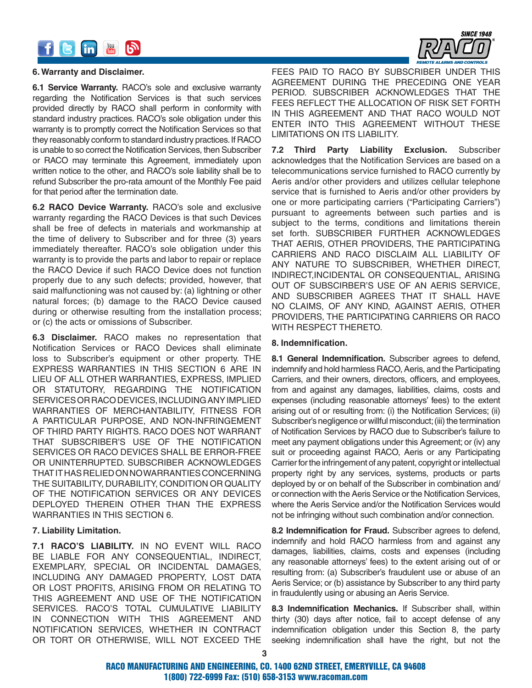



#### **6. Warranty and Disclaimer.**

**6.1 Service Warranty.** RACO's sole and exclusive warranty regarding the Notification Services is that such services provided directly by RACO shall perform in conformity with standard industry practices. RACO's sole obligation under this warranty is to promptly correct the Notification Services so that they reasonably conform to standard industry practices. If RACO is unable to so correct the Notification Services, then Subscriber or RACO may terminate this Agreement, immediately upon written notice to the other, and RACO's sole liability shall be to refund Subscriber the pro-rata amount of the Monthly Fee paid for that period after the termination date.

**6.2 RACO Device Warranty.** RACO's sole and exclusive warranty regarding the RACO Devices is that such Devices shall be free of defects in materials and workmanship at the time of delivery to Subscriber and for three (3) years immediately thereafter. RACO's sole obligation under this warranty is to provide the parts and labor to repair or replace the RACO Device if such RACO Device does not function properly due to any such defects; provided, however, that said malfunctioning was not caused by: (a) lightning or other natural forces; (b) damage to the RACO Device caused during or otherwise resulting from the installation process; or (c) the acts or omissions of Subscriber.

**6.3 Disclaimer.** RACO makes no representation that Notification Services or RACO Devices shall eliminate loss to Subscriber's equipment or other property. THE EXPRESS WARRANTIES IN THIS SECTION 6 ARE IN LIEU OF ALL OTHER WARRANTIES, EXPRESS, IMPLIED OR STATUTORY, REGARDING THE NOTIFICATION SERVICES OR RACO DEVICES, INCLUDING ANY IMPLIED WARRANTIES OF MERCHANTABILITY, FITNESS FOR A PARTICULAR PURPOSE, AND NON-INFRINGEMENT OF THIRD PARTY RIGHTS. RACO DOES NOT WARRANT THAT SUBSCRIBER'S USE OF THE NOTIFICATION SERVICES OR RACO DEVICES SHALL BE ERROR-FREE OR UNINTERRUPTED. SUBSCRIBER ACKNOWLEDGES THAT IT HAS RELIED ON NO WARRANTIES CONCERNING THE SUITABILITY, DURABILITY, CONDITION OR QUALITY OF THE NOTIFICATION SERVICES OR ANY DEVICES DEPLOYED THEREIN OTHER THAN THE EXPRESS WARRANTIES IN THIS SECTION 6.

#### **7. Liability Limitation.**

**7.1 RACO'S LIABILITY.** IN NO EVENT WILL RACO BE LIABLE FOR ANY CONSEQUENTIAL, INDIRECT, EXEMPLARY, SPECIAL OR INCIDENTAL DAMAGES, INCLUDING ANY DAMAGED PROPERTY, LOST DATA OR LOST PROFITS, ARISING FROM OR RELATING TO THIS AGREEMENT AND USE OF THE NOTIFICATION SERVICES. RACO'S TOTAL CUMULATIVE LIABILITY IN CONNECTION WITH THIS AGREEMENT AND NOTIFICATION SERVICES, WHETHER IN CONTRACT OR TORT OR OTHERWISE, WILL NOT EXCEED THE FEES PAID TO RACO BY SUBSCRIBER UNDER THIS AGREEMENT DURING THE PRECEDING ONE YEAR PERIOD. SUBSCRIBER ACKNOWLEDGES THAT THE FEES REFLECT THE ALLOCATION OF RISK SET FORTH IN THIS AGREEMENT AND THAT RACO WOULD NOT ENTER INTO THIS AGREEMENT WITHOUT THESE LIMITATIONS ON ITS LIABILITY.

**7.2 Third Party Liability Exclusion.** Subscriber acknowledges that the Notification Services are based on a telecommunications service furnished to RACO currently by Aeris and/or other providers and utilizes cellular telephone service that is furnished to Aeris and/or other providers by one or more participating carriers ("Participating Carriers") pursuant to agreements between such parties and is subject to the terms, conditions and limitations therein set forth. SUBSCRIBER FURTHER ACKNOWLEDGES THAT AERIS, OTHER PROVIDERS, THE PARTICIPATING CARRIERS AND RACO DISCLAIM ALL LIABILITY OF ANY NATURE TO SUBSCRIBER, WHETHER DIRECT, INDIRECT,INCIDENTAL OR CONSEQUENTIAL, ARISING OUT OF SUBSCIRBER'S USE OF AN AERIS SERVICE, AND SUBSCRIBER AGREES THAT IT SHALL HAVE NO CLAIMS, OF ANY KIND, AGAINST AERIS, OTHER PROVIDERS, THE PARTICIPATING CARRIERS OR RACO WITH RESPECT THERETO.

#### **8. Indemnification.**

**8.1 General Indemnification.** Subscriber agrees to defend, indemnify and hold harmless RACO, Aeris, and the Participating Carriers, and their owners, directors, officers, and employees, from and against any damages, liabilities, claims, costs and expenses (including reasonable attorneys' fees) to the extent arising out of or resulting from: (i) the Notification Services; (ii) Subscriber's negligence or willful misconduct; (iii) the termination of Notification Services by RACO due to Subscriber's failure to meet any payment obligations under this Agreement; or (iv) any suit or proceeding against RACO, Aeris or any Participating Carrier for the infringement of any patent, copyright or intellectual property right by any services, systems, products or parts deployed by or on behalf of the Subscriber in combination and/ or connection with the Aeris Service or the Notification Services, where the Aeris Service and/or the Notification Services would not be infringing without such combination and/or connection.

**8.2 Indemnification for Fraud.** Subscriber agrees to defend, indemnify and hold RACO harmless from and against any damages, liabilities, claims, costs and expenses (including any reasonable attorneys' fees) to the extent arising out of or resulting from: (a) Subscriber's fraudulent use or abuse of an Aeris Service; or (b) assistance by Subscriber to any third party in fraudulently using or abusing an Aeris Service.

**8.3 Indemnification Mechanics.** If Subscriber shall, within thirty (30) days after notice, fail to accept defense of any indemnification obligation under this Section 8, the party seeking indemnification shall have the right, but not the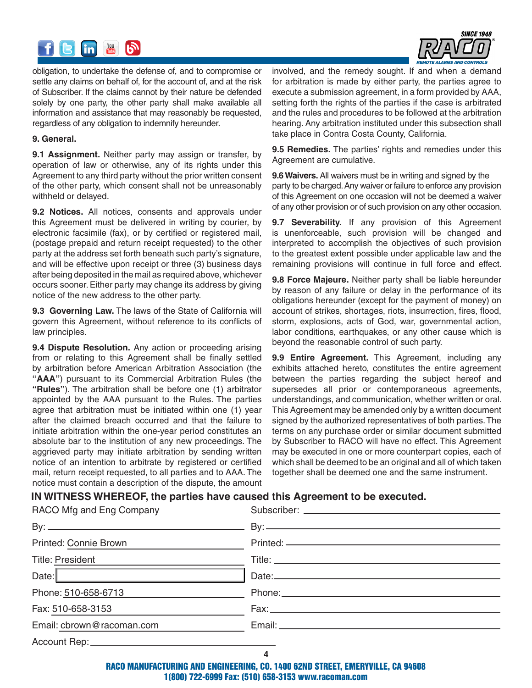



obligation, to undertake the defense of, and to compromise or settle any claims on behalf of, for the account of, and at the risk of Subscriber. If the claims cannot by their nature be defended solely by one party, the other party shall make available all information and assistance that may reasonably be requested, regardless of any obligation to indemnify hereunder.

#### **9. General.**

**9.1 Assignment.** Neither party may assign or transfer, by operation of law or otherwise, any of its rights under this Agreement to any third party without the prior written consent of the other party, which consent shall not be unreasonably withheld or delayed.

**9.2 Notices.** All notices, consents and approvals under this Agreement must be delivered in writing by courier, by electronic facsimile (fax), or by certified or registered mail, (postage prepaid and return receipt requested) to the other party at the address set forth beneath such party's signature, and will be effective upon receipt or three (3) business days after being deposited in the mail as required above, whichever occurs sooner. Either party may change its address by giving notice of the new address to the other party.

**9.3 Governing Law.** The laws of the State of California will govern this Agreement, without reference to its conflicts of law principles.

**9.4 Dispute Resolution.** Any action or proceeding arising from or relating to this Agreement shall be finally settled by arbitration before American Arbitration Association (the **"AAA"**) pursuant to its Commercial Arbitration Rules (the **"Rules"**). The arbitration shall be before one (1) arbitrator appointed by the AAA pursuant to the Rules. The parties agree that arbitration must be initiated within one (1) year after the claimed breach occurred and that the failure to initiate arbitration within the one-year period constitutes an absolute bar to the institution of any new proceedings. The aggrieved party may initiate arbitration by sending written notice of an intention to arbitrate by registered or certified mail, return receipt requested, to all parties and to AAA. The notice must contain a description of the dispute, the amount involved, and the remedy sought. If and when a demand for arbitration is made by either party, the parties agree to execute a submission agreement, in a form provided by AAA, setting forth the rights of the parties if the case is arbitrated and the rules and procedures to be followed at the arbitration hearing. Any arbitration instituted under this subsection shall take place in Contra Costa County, California.

**9.5 Remedies.** The parties' rights and remedies under this Agreement are cumulative.

**9.6 Waivers.** All waivers must be in writing and signed by the party to be charged. Any waiver or failure to enforce any provision of this Agreement on one occasion will not be deemed a waiver of any other provision or of such provision on any other occasion.

**9.7 Severability.** If any provision of this Agreement is unenforceable, such provision will be changed and interpreted to accomplish the objectives of such provision to the greatest extent possible under applicable law and the remaining provisions will continue in full force and effect.

**9.8 Force Majeure.** Neither party shall be liable hereunder by reason of any failure or delay in the performance of its obligations hereunder (except for the payment of money) on account of strikes, shortages, riots, insurrection, fires, flood, storm, explosions, acts of God, war, governmental action, labor conditions, earthquakes, or any other cause which is beyond the reasonable control of such party.

**9.9 Entire Agreement.** This Agreement, including any exhibits attached hereto, constitutes the entire agreement between the parties regarding the subject hereof and supersedes all prior or contemporaneous agreements, understandings, and communication, whether written or oral. This Agreement may be amended only by a written document signed by the authorized representatives of both parties. The terms on any purchase order or similar document submitted by Subscriber to RACO will have no effect. This Agreement may be executed in one or more counterpart copies, each of which shall be deemed to be an original and all of which taken together shall be deemed one and the same instrument.

## **IN WITNESS WHEREOF, the parties have caused this Agreement to be executed.**

| RACO Mfg and Eng Company          |  |
|-----------------------------------|--|
|                                   |  |
| Printed: Connie Brown             |  |
| Title: President ________________ |  |
| Date:                             |  |
| Phone: 510-658-6713               |  |
| Fax: 510-658-3153                 |  |
| Email: cbrown@racoman.com         |  |
| Account Rep: ___________________  |  |